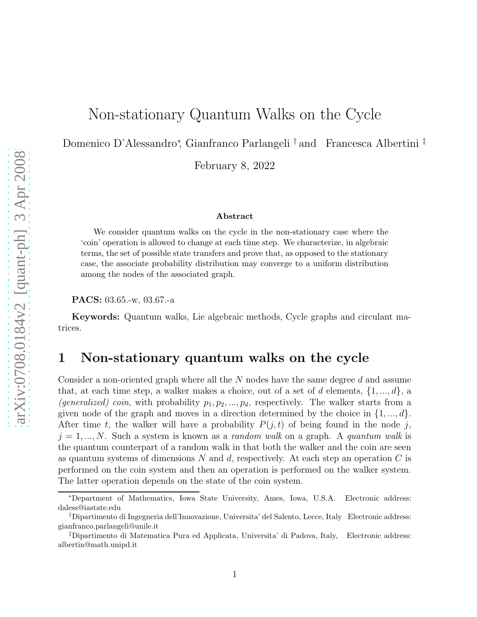# Non-stationary Quantum Walks on the Cycle

Domenico D'Alessandro<sup>∗</sup> , Gianfranco Parlangeli † and Francesca Albertini ‡

February 8, 2022

#### Abstract

We consider quantum walks on the cycle in the non-stationary case where the 'coin' operation is allowed to change at each time step. We characterize, in algebraic terms, the set of possible state transfers and prove that, as opposed to the stationary case, the associate probability distribution may converge to a uniform distribution among the nodes of the associated graph.

PACS: 03.65.-w, 03.67.-a

Keywords: Quantum walks, Lie algebraic methods, Cycle graphs and circulant matrices.

## 1 Non-stationary quantum walks on the cycle

Consider a non-oriented graph where all the N nodes have the same degree d and assume that, at each time step, a walker makes a choice, out of a set of d elements,  $\{1, ..., d\}$ , a (generalized) coin, with probability  $p_1, p_2, ..., p_d$ , respectively. The walker starts from a given node of the graph and moves in a direction determined by the choice in  $\{1, ..., d\}$ . After time t, the walker will have a probability  $P(j, t)$  of being found in the node j,  $j = 1, ..., N$ . Such a system is known as a *random walk* on a graph. A *quantum walk* is the quantum counterpart of a random walk in that both the walker and the coin are seen as quantum systems of dimensions N and d, respectively. At each step an operation  $C$  is performed on the coin system and then an operation is performed on the walker system. The latter operation depends on the state of the coin system.

<sup>∗</sup>Department of Mathematics, Iowa State University, Ames, Iowa, U.S.A. Electronic address: daless@iastate.edu

<sup>†</sup>Dipartimento di Ingegneria dell'Innovazione, Universita' del Salento, Lecce, Italy Electronic address: gianfranco.parlangeli@unile.it

<sup>‡</sup>Dipartimento di Matematica Pura ed Applicata, Universita' di Padova, Italy, Electronic address: albertin@math.unipd.it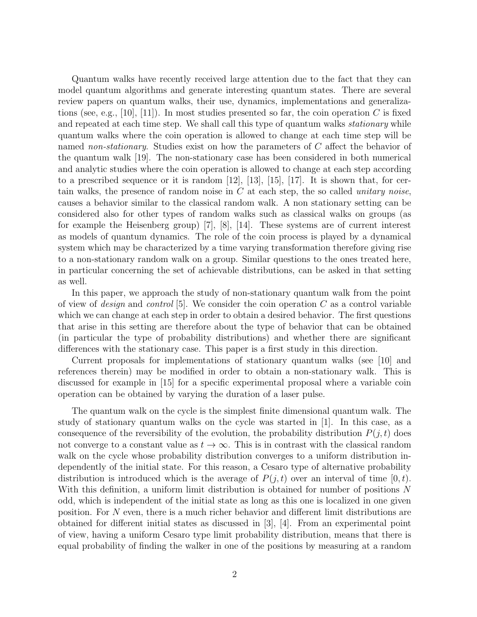Quantum walks have recently received large attention due to the fact that they can model quantum algorithms and generate interesting quantum states. There are several review papers on quantum walks, their use, dynamics, implementations and generalizations (see, e.g., [10], [11]). In most studies presented so far, the coin operation C is fixed and repeated at each time step. We shall call this type of quantum walks *stationary* while quantum walks where the coin operation is allowed to change at each time step will be named non-stationary. Studies exist on how the parameters of C affect the behavior of the quantum walk [19]. The non-stationary case has been considered in both numerical and analytic studies where the coin operation is allowed to change at each step according to a prescribed sequence or it is random  $[12]$ ,  $[13]$ ,  $[15]$ ,  $[17]$ . It is shown that, for certain walks, the presence of random noise in  $C$  at each step, the so called *unitary noise*, causes a behavior similar to the classical random walk. A non stationary setting can be considered also for other types of random walks such as classical walks on groups (as for example the Heisenberg group) [7], [8], [14]. These systems are of current interest as models of quantum dynamics. The role of the coin process is played by a dynamical system which may be characterized by a time varying transformation therefore giving rise to a non-stationary random walk on a group. Similar questions to the ones treated here, in particular concerning the set of achievable distributions, can be asked in that setting as well.

In this paper, we approach the study of non-stationary quantum walk from the point of view of *design* and *control* [5]. We consider the coin operation  $C$  as a control variable which we can change at each step in order to obtain a desired behavior. The first questions that arise in this setting are therefore about the type of behavior that can be obtained (in particular the type of probability distributions) and whether there are significant differences with the stationary case. This paper is a first study in this direction.

Current proposals for implementations of stationary quantum walks (see [10] and references therein) may be modified in order to obtain a non-stationary walk. This is discussed for example in [15] for a specific experimental proposal where a variable coin operation can be obtained by varying the duration of a laser pulse.

The quantum walk on the cycle is the simplest finite dimensional quantum walk. The study of stationary quantum walks on the cycle was started in [1]. In this case, as a consequence of the reversibility of the evolution, the probability distribution  $P(j, t)$  does not converge to a constant value as  $t \to \infty$ . This is in contrast with the classical random walk on the cycle whose probability distribution converges to a uniform distribution independently of the initial state. For this reason, a Cesaro type of alternative probability distribution is introduced which is the average of  $P(j, t)$  over an interval of time  $[0, t)$ . With this definition, a uniform limit distribution is obtained for number of positions N odd, which is independent of the initial state as long as this one is localized in one given position. For N even, there is a much richer behavior and different limit distributions are obtained for different initial states as discussed in [3], [4]. From an experimental point of view, having a uniform Cesaro type limit probability distribution, means that there is equal probability of finding the walker in one of the positions by measuring at a random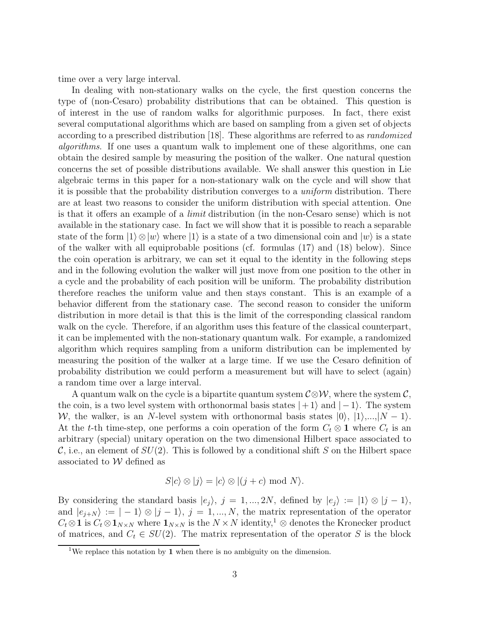time over a very large interval.

In dealing with non-stationary walks on the cycle, the first question concerns the type of (non-Cesaro) probability distributions that can be obtained. This question is of interest in the use of random walks for algorithmic purposes. In fact, there exist several computational algorithms which are based on sampling from a given set of objects according to a prescribed distribution [18]. These algorithms are referred to as randomized algorithms. If one uses a quantum walk to implement one of these algorithms, one can obtain the desired sample by measuring the position of the walker. One natural question concerns the set of possible distributions available. We shall answer this question in Lie algebraic terms in this paper for a non-stationary walk on the cycle and will show that it is possible that the probability distribution converges to a uniform distribution. There are at least two reasons to consider the uniform distribution with special attention. One is that it offers an example of a limit distribution (in the non-Cesaro sense) which is not available in the stationary case. In fact we will show that it is possible to reach a separable state of the form  $|1\rangle \otimes |w\rangle$  where  $|1\rangle$  is a state of a two dimensional coin and  $|w\rangle$  is a state of the walker with all equiprobable positions (cf. formulas (17) and (18) below). Since the coin operation is arbitrary, we can set it equal to the identity in the following steps and in the following evolution the walker will just move from one position to the other in a cycle and the probability of each position will be uniform. The probability distribution therefore reaches the uniform value and then stays constant. This is an example of a behavior different from the stationary case. The second reason to consider the uniform distribution in more detail is that this is the limit of the corresponding classical random walk on the cycle. Therefore, if an algorithm uses this feature of the classical counterpart, it can be implemented with the non-stationary quantum walk. For example, a randomized algorithm which requires sampling from a uniform distribution can be implemented by measuring the position of the walker at a large time. If we use the Cesaro definition of probability distribution we could perform a measurement but will have to select (again) a random time over a large interval.

A quantum walk on the cycle is a bipartite quantum system  $\mathcal{C} \otimes \mathcal{W}$ , where the system  $\mathcal{C}$ , the coin, is a two level system with orthonormal basis states  $|+1\rangle$  and  $|-1\rangle$ . The system W, the walker, is an N-level system with orthonormal basis states  $|0\rangle, |1\rangle,...,|N-1\rangle$ . At the t-th time-step, one performs a coin operation of the form  $C_t \otimes \mathbf{1}$  where  $C_t$  is an arbitrary (special) unitary operation on the two dimensional Hilbert space associated to  $\mathcal{C}$ , i.e., an element of  $SU(2)$ . This is followed by a conditional shift S on the Hilbert space associated to  $W$  defined as

$$
S|c\rangle \otimes |j\rangle = |c\rangle \otimes |(j+c) \bmod N\rangle.
$$

By considering the standard basis  $|e_j\rangle$ ,  $j = 1, ..., 2N$ , defined by  $|e_j\rangle := |1\rangle \otimes |j - 1\rangle$ , and  $|e_{j+N}\rangle := |-1\rangle \otimes |j-1\rangle, j = 1, ..., N$ , the matrix representation of the operator  $C_t \otimes \mathbf{1}$  is  $C_t \otimes \mathbf{1}_{N \times N}$  where  $\mathbf{1}_{N \times N}$  is the  $N \times N$  identity,<sup>1</sup>  $\otimes$  denotes the Kronecker product of matrices, and  $C_t \in SU(2)$ . The matrix representation of the operator S is the block

<sup>&</sup>lt;sup>1</sup>We replace this notation by **1** when there is no ambiguity on the dimension.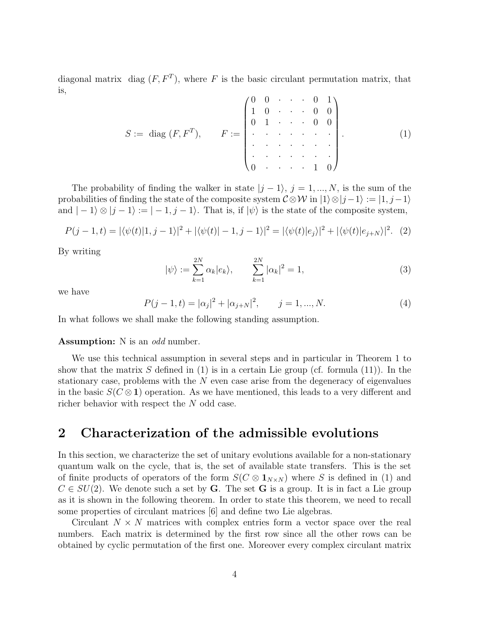diagonal matrix diag  $(F, F^T)$ , where F is the basic circulant permutation matrix, that is,  $\sqrt{2}$  $\overline{1}$ 

$$
S := \text{ diag }(F, F^T), \qquad F := \begin{pmatrix} 0 & 0 & \cdots & 0 & 1 \\ 1 & 0 & \cdots & 0 & 0 \\ 0 & 1 & \cdots & 0 & 0 \\ \vdots & \vdots & \ddots & \vdots & \vdots \\ 0 & \cdots & \cdots & 1 & 0 \end{pmatrix}.
$$
 (1)

The probability of finding the walker in state  $|j - 1\rangle$ ,  $j = 1, ..., N$ , is the sum of the probabilities of finding the state of the composite system  $C \otimes W$  in  $|1\rangle \otimes |j-1\rangle := |1, j-1\rangle$ and  $|-1\rangle \otimes |j-1\rangle := |-1, j-1\rangle$ . That is, if  $|\psi\rangle$  is the state of the composite system,

$$
P(j-1,t) = |\langle \psi(t) | 1, j-1 \rangle|^2 + |\langle \psi(t) | -1, j-1 \rangle|^2 = |\langle \psi(t) | e_j \rangle|^2 + |\langle \psi(t) | e_{j+N} \rangle|^2. \tag{2}
$$

By writing

$$
|\psi\rangle := \sum_{k=1}^{2N} \alpha_k |e_k\rangle, \qquad \sum_{k=1}^{2N} |\alpha_k|^2 = 1,\tag{3}
$$

we have

$$
P(j-1,t) = |\alpha_j|^2 + |\alpha_{j+N}|^2, \qquad j = 1, ..., N.
$$
 (4)

In what follows we shall make the following standing assumption.

#### **Assumption:** N is an *odd* number.

We use this technical assumption in several steps and in particular in Theorem 1 to show that the matrix S defined in (1) is in a certain Lie group (cf. formula (11)). In the stationary case, problems with the  $N$  even case arise from the degeneracy of eigenvalues in the basic  $S(C \otimes 1)$  operation. As we have mentioned, this leads to a very different and richer behavior with respect the N odd case.

### 2 Characterization of the admissible evolutions

In this section, we characterize the set of unitary evolutions available for a non-stationary quantum walk on the cycle, that is, the set of available state transfers. This is the set of finite products of operators of the form  $S(C \otimes 1_{N\times N})$  where S is defined in (1) and  $C \in SU(2)$ . We denote such a set by G. The set G is a group. It is in fact a Lie group as it is shown in the following theorem. In order to state this theorem, we need to recall some properties of circulant matrices [6] and define two Lie algebras.

Circulant  $N \times N$  matrices with complex entries form a vector space over the real numbers. Each matrix is determined by the first row since all the other rows can be obtained by cyclic permutation of the first one. Moreover every complex circulant matrix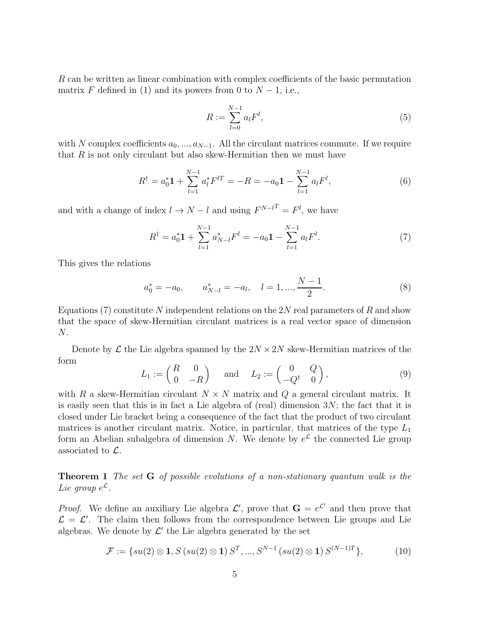R can be written as linear combination with complex coefficients of the basic permutation matrix F defined in (1) and its powers from 0 to  $N-1$ , i.e.,

$$
R := \sum_{l=0}^{N-1} a_l F^l,\tag{5}
$$

with N complex coefficients  $a_0, ..., a_{N-1}$ . All the circulant matrices commute. If we require that  $R$  is not only circulant but also skew-Hermitian then we must have

$$
R^{\dagger} = a_0^* \mathbf{1} + \sum_{l=1}^{N-1} a_l^* F^{lT} = -R = -a_0 \mathbf{1} - \sum_{l=1}^{N-1} a_l F^l,
$$
\n(6)

and with a change of index  $l \to N - l$  and using  $F^{N-l^T} = F^l$ , we have

$$
R^{\dagger} = a_0^* \mathbf{1} + \sum_{l=1}^{N-1} a_{N-l}^* F^l = -a_0 \mathbf{1} - \sum_{l=1}^{N-1} a_l F^l. \tag{7}
$$

This gives the relations

$$
a_0^* = -a_0, \qquad a_{N-l}^* = -a_l, \quad l = 1, ..., \frac{N-1}{2}.
$$
 (8)

Equations (7) constitute N independent relations on the 2N real parameters of R and show that the space of skew-Hermitian circulant matrices is a real vector space of dimension N.

Denote by  $\mathcal L$  the Lie algebra spanned by the  $2N \times 2N$  skew-Hermitian matrices of the form

$$
L_1 := \begin{pmatrix} R & 0 \\ 0 & -R \end{pmatrix} \quad \text{and} \quad L_2 := \begin{pmatrix} 0 & Q \\ -Q^\dagger & 0 \end{pmatrix}, \tag{9}
$$

with R a skew-Hermitian circulant  $N \times N$  matrix and Q a general circulant matrix. It is easily seen that this is in fact a Lie algebra of (real) dimension 3N; the fact that it is closed under Lie bracket being a consequence of the fact that the product of two circulant matrices is another circulant matrix. Notice, in particular, that matrices of the type  $L_1$ form an Abelian subalgebra of dimension N. We denote by  $e^{\mathcal{L}}$  the connected Lie group associated to L.

Theorem 1 The set G of possible evolutions of a non-stationary quantum walk is the Lie group  $e^{\mathcal{L}}$ .

*Proof.* We define an auxiliary Lie algebra  $\mathcal{L}'$ , prove that  $\mathbf{G} = e^{\mathcal{L}'}$  and then prove that  $\mathcal{L} = \mathcal{L}'$ . The claim then follows from the correspondence between Lie groups and Lie algebras. We denote by  $\mathcal{L}'$  the Lie algebra generated by the set

$$
\mathcal{F} := \{ su(2) \otimes \mathbf{1}, S\left( su(2) \otimes \mathbf{1} \right) S^T, ..., S^{N-1}\left( su(2) \otimes \mathbf{1} \right) S^{(N-1)T} \},\tag{10}
$$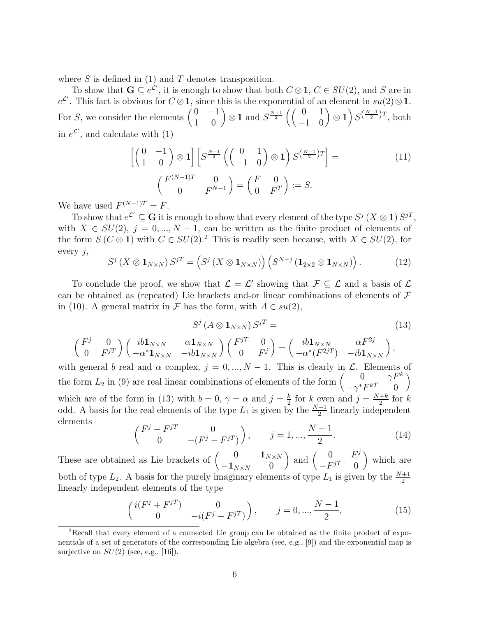where  $S$  is defined in (1) and  $T$  denotes transposition.

To show that  $\mathbf{G} \subseteq e^{\mathcal{L}}$ , it is enough to show that both  $C \otimes \mathbf{1}$ ,  $C \in SU(2)$ , and S are in  $e^{\mathcal{L}'}$ . This fact is obvious for  $C \otimes \mathbf{1}$ , since this is the exponential of an element in  $su(2) \otimes \mathbf{1}$ . For S, we consider the elements  $\begin{pmatrix} 0 & -1 \\ 1 & 0 \end{pmatrix} \otimes \mathbf{1}$  and  $S^{\frac{N-1}{2}} \left( \begin{pmatrix} 0 & 1 \\ -1 & 0 \end{pmatrix} \otimes \mathbf{1} \right) S^{(\frac{N-1}{2})T}$ , both in  $e^{\mathcal{L}'}$ , and calculate with (1)

$$
\begin{bmatrix}\n\begin{pmatrix}\n0 & -1 \\
1 & 0\n\end{pmatrix} \otimes \mathbf{1}\n\end{bmatrix}\n\begin{bmatrix}\nS^{\frac{N-1}{2}}\n\begin{pmatrix}\n0 & 1 \\
-1 & 0\n\end{pmatrix} \otimes \mathbf{1}\n\end{bmatrix}\nS^{\left(\frac{N-1}{2}\right)T} =\n\begin{pmatrix}\nF^{(N-1)T} & 0 \\
0 & F^{N-1}\n\end{pmatrix} = \begin{pmatrix}\nF & 0 \\
0 & F^T\n\end{pmatrix} := S.
$$
\n(11)

We have used  $F^{(N-1)T} = F$ .

To show that  $e^{\mathcal{L}'} \subseteq G$  it is enough to show that every element of the type  $S^j(X \otimes \mathbf{1}) S^{jT}$ , with  $X \in SU(2)$ ,  $j = 0, ..., N - 1$ , can be written as the finite product of elements of the form  $S(C \otimes 1)$  with  $C \in SU(2).^{2}$  This is readily seen because, with  $X \in SU(2)$ , for every  $j$ ,

$$
S^{j}\left(X\otimes\mathbf{1}_{N\times N}\right)S^{jT}=\left(S^{j}\left(X\otimes\mathbf{1}_{N\times N}\right)\right)\left(S^{N-j}\left(\mathbf{1}_{2\times 2}\otimes\mathbf{1}_{N\times N}\right)\right).
$$
 (12)

To conclude the proof, we show that  $\mathcal{L} = \mathcal{L}'$  showing that  $\mathcal{F} \subseteq \mathcal{L}$  and a basis of  $\mathcal{L}$ can be obtained as (repeated) Lie brackets and-or linear combinations of elements of  $\mathcal F$ in (10). A general matrix in F has the form, with  $A \in su(2)$ ,

$$
S^j \left( A \otimes \mathbf{1}_{N \times N} \right) S^{jT} = \tag{13}
$$

$$
\begin{pmatrix} F^j & 0 \ 0 & F^{jT} \end{pmatrix} \begin{pmatrix} ib\mathbf{1}_{N\times N} & \alpha\mathbf{1}_{N\times N} \\ -\alpha^*\mathbf{1}_{N\times N} & -ib\mathbf{1}_{N\times N} \end{pmatrix} \begin{pmatrix} F^{jT} & 0 \\ 0 & F^j \end{pmatrix} = \begin{pmatrix} ib\mathbf{1}_{N\times N} & \alpha F^{2j} \\ -\alpha^*(F^{2jT}) & -ib\mathbf{1}_{N\times N} \end{pmatrix},
$$

with general b real and  $\alpha$  complex,  $j = 0, ..., N - 1$ . This is clearly in  $\mathcal{L}$ . Elements of the form  $L_2$  in (9) are real linear combinations of elements of the form  $\begin{pmatrix} 0 & \gamma F^k \\ \gamma^* F^{kT} & 0 \end{pmatrix}$  $-\gamma^* F^{kT}$  0  $\setminus$ which are of the form in (13) with  $b = 0, \gamma = \alpha$  and  $j = \frac{k}{2}$  $\frac{k}{2}$  for k even and  $j = \frac{N+k}{2}$  $rac{+k}{2}$  for  $k$ odd. A basis for the real elements of the type  $L_1$  is given by the  $\frac{N-1}{2}$  linearly independent elements

$$
\begin{pmatrix} F^j - F^{jT} & 0 \\ 0 & -(F^j - F^{jT}) \end{pmatrix}, \qquad j = 1, ..., \frac{N-1}{2}.
$$
 (14)

These are obtained as Lie brackets of  $\begin{pmatrix} 0 & \mathbf{1}_{N\times N} \\ \mathbf{1}_{N\times N} & 0 \end{pmatrix}$  $-1_{N\times N}$  0 ) and  $\begin{pmatrix} 0 & F^j \\ F^jT & 0 \end{pmatrix}$  $-F^{jT}$  0 which are both of type  $L_2$ . A basis for the purely imaginary elements of type  $L_1$  is given by the  $\frac{N+1}{2}$ linearly independent elements of the type

$$
\begin{pmatrix}\ni(F^j + F^{jT}) & 0 \\
0 & -i(F^j + F^{jT})\n\end{pmatrix}, \quad j = 0, ..., \frac{N-1}{2},
$$
\n(15)

<sup>2</sup>Recall that every element of a connected Lie group can be obtained as the finite product of exponentials of a set of generators of the corresponding Lie algebra (see, e.g., [9]) and the exponential map is surjective on  $SU(2)$  (see, e.g., [16]).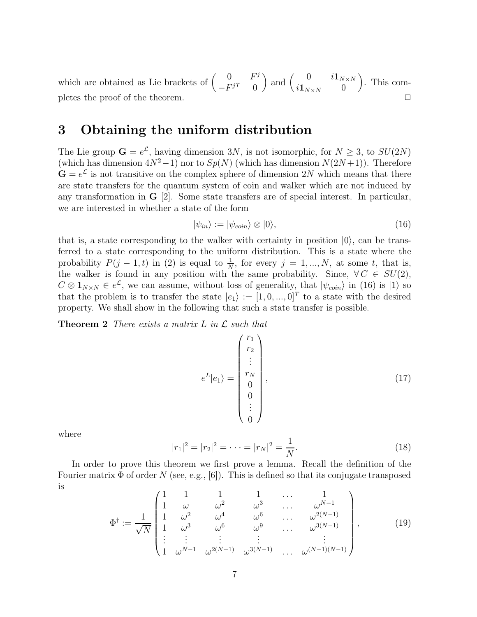which are obtained as Lie brackets of  $\begin{pmatrix} 0 & F^j \\ -\overline{F}^jT & 0 \end{pmatrix}$  $-F^{jT}$  0 ) and  $\begin{pmatrix} 0 & i\mathbf{1}_{N\times N} \\ i\mathbf{1} & 0 \end{pmatrix}$  $i\mathbf{1}_{N\times N}$  0 . This completes the proof of the theorem.  $\Box$ 

#### 3 Obtaining the uniform distribution

The Lie group  $\mathbf{G} = e^{\mathcal{L}}$ , having dimension 3N, is not isomorphic, for  $N \geq 3$ , to  $SU(2N)$ (which has dimension  $4N^2-1$ ) nor to  $Sp(N)$  (which has dimension  $N(2N+1)$ ). Therefore  $\mathbf{G} = e^{\mathcal{L}}$  is not transitive on the complex sphere of dimension 2N which means that there are state transfers for the quantum system of coin and walker which are not induced by any transformation in  $\bf{G}$  [2]. Some state transfers are of special interest. In particular, we are interested in whether a state of the form

$$
|\psi_{in}\rangle := |\psi_{coin}\rangle \otimes |0\rangle,\tag{16}
$$

that is, a state corresponding to the walker with certainty in position  $|0\rangle$ , can be transferred to a state corresponding to the uniform distribution. This is a state where the probability  $P(j-1,t)$  in (2) is equal to  $\frac{1}{N}$ , for every  $j=1,...,N$ , at some t, that is, the walker is found in any position with the same probability. Since,  $\forall C \in SU(2)$ ,  $C \otimes \mathbf{1}_{N \times N} \in e^{\mathcal{L}}$ , we can assume, without loss of generality, that  $|\psi_{coin}\rangle$  in (16) is  $|1\rangle$  so that the problem is to transfer the state  $|e_1\rangle := [1, 0, ..., 0]^T$  to a state with the desired property. We shall show in the following that such a state transfer is possible.

**Theorem 2** There exists a matrix  $L$  in  $\mathcal{L}$  such that

$$
e^{L}|e_{1}\rangle = \begin{pmatrix} r_{1} \\ r_{2} \\ \vdots \\ r_{N} \\ 0 \\ 0 \\ \vdots \\ 0 \end{pmatrix}, \qquad (17)
$$

where

$$
|r_1|^2 = |r_2|^2 = \dots = |r_N|^2 = \frac{1}{N}.
$$
\n(18)

In order to prove this theorem we first prove a lemma. Recall the definition of the Fourier matrix  $\Phi$  of order N (see, e.g., [6]). This is defined so that its conjugate transposed is

$$
\Phi^{\dagger} := \frac{1}{\sqrt{N}} \begin{pmatrix} 1 & 1 & 1 & 1 & \dots & 1 \\ 1 & \omega & \omega^2 & \omega^3 & \dots & \omega^{N-1} \\ 1 & \omega^2 & \omega^4 & \omega^6 & \dots & \omega^{2(N-1)} \\ 1 & \omega^3 & \omega^6 & \omega^9 & \dots & \omega^{3(N-1)} \\ \vdots & \vdots & \vdots & \vdots & \vdots & \vdots \\ 1 & \omega^{N-1} & \omega^{2(N-1)} & \omega^{3(N-1)} & \dots & \omega^{(N-1)(N-1)} \end{pmatrix},
$$
(19)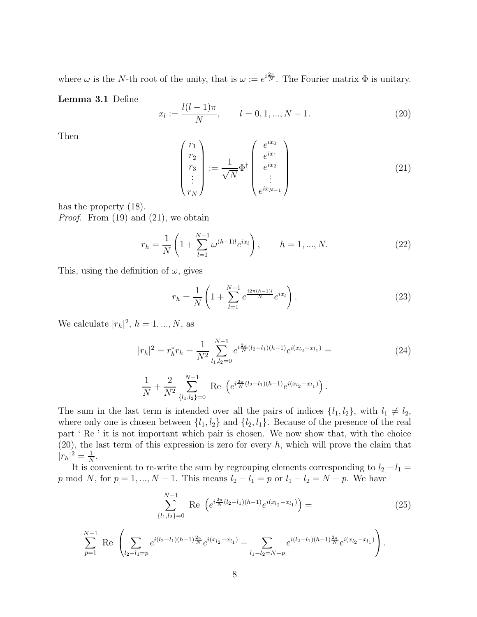where  $\omega$  is the N-th root of the unity, that is  $\omega := e^{i\frac{2\pi}{N}}$ . The Fourier matrix  $\Phi$  is unitary.

#### Lemma 3.1 Define

$$
x_l := \frac{l(l-1)\pi}{N}, \qquad l = 0, 1, ..., N-1.
$$
 (20)

Then

$$
\begin{pmatrix}\nr_1 \\
r_2 \\
r_3 \\
\vdots \\
r_N\n\end{pmatrix} := \frac{1}{\sqrt{N}} \Phi^{\dagger} \begin{pmatrix}\ne^{ix_0} \\
e^{ix_1} \\
e^{ix_2} \\
\vdots \\
e^{ix_{N-1}}\n\end{pmatrix}
$$
\n(21)

has the property (18).

*Proof.* From  $(19)$  and  $(21)$ , we obtain

$$
r_h = \frac{1}{N} \left( 1 + \sum_{l=1}^{N-1} \omega^{(h-1)l} e^{ix_l} \right), \qquad h = 1, ..., N. \tag{22}
$$

This, using the definition of  $\omega$ , gives

$$
r_h = \frac{1}{N} \left( 1 + \sum_{l=1}^{N-1} e^{\frac{i2\pi(h-1)l}{N}} e^{ix_l} \right).
$$
 (23)

We calculate  $|r_h|^2$ ,  $h = 1, ..., N$ , as

$$
|r_h|^2 = r_h^* r_h = \frac{1}{N^2} \sum_{l_1, l_2 = 0}^{N-1} e^{i\frac{2\pi}{N}(l_2 - l_1)(h-1)} e^{i(x_{l_2} - x_{l_1})} = \tag{24}
$$

$$
\frac{1}{N} + \frac{2}{N^2} \sum_{\{l_1, l_2\} = 0}^{N-1} \text{Re} \left( e^{i \frac{2\pi}{N} (l_2 - l_1)(h-1)} e^{i (x_{l_2} - x_{l_1})} \right).
$$

The sum in the last term is intended over all the pairs of indices  $\{l_1, l_2\}$ , with  $l_1 \neq l_2$ , where only one is chosen between  $\{l_1, l_2\}$  and  $\{l_2, l_1\}$ . Because of the presence of the real part ' Re ' it is not important which pair is chosen. We now show that, with the choice  $(20)$ , the last term of this expression is zero for every h, which will prove the claim that  $|r_h|^2 = \frac{1}{N}$  $\frac{1}{N}$ .

It is convenient to re-write the sum by regrouping elements corresponding to  $l_2 - l_1 =$ p mod N, for  $p = 1, ..., N - 1$ . This means  $l_2 - l_1 = p$  or  $l_1 - l_2 = N - p$ . We have

$$
\sum_{\{l_1, l_2\}=0}^{N-1} \text{Re}\left(e^{i\frac{2\pi}{N}(l_2-l_1)(h-1)}e^{i(x_{l_2}-x_{l_1})}\right) = (25)
$$

$$
\sum_{p=1}^{N-1} \text{ Re } \left( \sum_{l_2-l_1=p} e^{i(l_2-l_1)(h-1)\frac{2\pi}{N}} e^{i(x_{l_2}-x_{l_1})} + \sum_{l_1-l_2=N-p} e^{i(l_2-l_1)(h-1)\frac{2\pi}{N}} e^{i(x_{l_2}-x_{l_1})} \right).
$$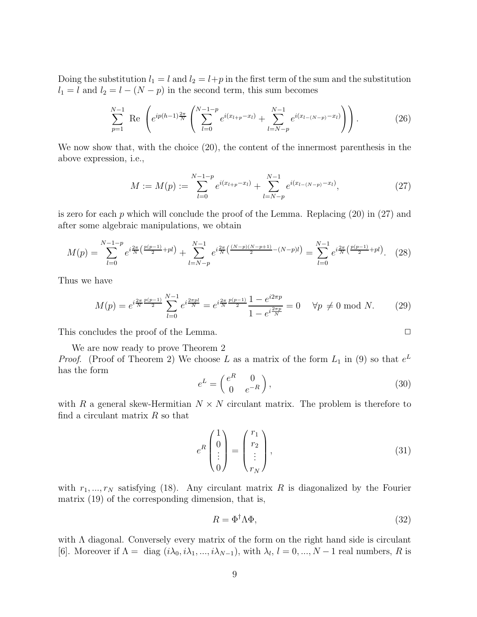Doing the substitution  $l_1 = l$  and  $l_2 = l+p$  in the first term of the sum and the substitution  $l_1 = l$  and  $l_2 = l - (N - p)$  in the second term, this sum becomes

$$
\sum_{p=1}^{N-1} \text{ Re } \left( e^{ip(h-1)\frac{2\pi}{N}} \left( \sum_{l=0}^{N-1-p} e^{i(x_{l+p}-x_l)} + \sum_{l=N-p}^{N-1} e^{i(x_{l-(N-p)}-x_l)} \right) \right).
$$
 (26)

We now show that, with the choice (20), the content of the innermost parenthesis in the above expression, i.e.,

$$
M := M(p) := \sum_{l=0}^{N-1-p} e^{i(x_{l+p}-x_l)} + \sum_{l=N-p}^{N-1} e^{i(x_{l-(N-p)}-x_l)},
$$
\n(27)

is zero for each  $p$  which will conclude the proof of the Lemma. Replacing  $(20)$  in  $(27)$  and after some algebraic manipulations, we obtain

$$
M(p) = \sum_{l=0}^{N-1-p} e^{i\frac{2\pi}{N} \left(\frac{p(p-1)}{2} + pl\right)} + \sum_{l=N-p}^{N-1} e^{i\frac{2\pi}{N} \left(\frac{(N-p)(N-p+1)}{2} - (N-p)l\right)} = \sum_{l=0}^{N-1} e^{i\frac{2\pi}{N} \left(\frac{p(p-1)}{2} + pl\right)}.
$$
 (28)

Thus we have

$$
M(p) = e^{i\frac{2\pi}{N}\frac{p(p-1)}{2}} \sum_{l=0}^{N-1} e^{i\frac{2\pi pl}{N}} = e^{i\frac{2\pi}{N}\frac{p(p-1)}{2}} \frac{1 - e^{i2\pi p}}{1 - e^{i\frac{2\pi p}{N}}} = 0 \quad \forall p \neq 0 \text{ mod } N. \tag{29}
$$

This concludes the proof of the Lemma.  $\Box$ 

We are now ready to prove Theorem 2

*Proof.* (Proof of Theorem 2) We choose L as a matrix of the form  $L_1$  in (9) so that  $e^L$ has the form

$$
e^L = \begin{pmatrix} e^R & 0\\ 0 & e^{-R} \end{pmatrix},\tag{30}
$$

with R a general skew-Hermitian  $N \times N$  circulant matrix. The problem is therefore to find a circulant matrix  $R$  so that

$$
e^{R}\begin{pmatrix}1\\0\\\vdots\\0\end{pmatrix} = \begin{pmatrix}r_1\\r_2\\\vdots\\r_N\end{pmatrix},\tag{31}
$$

with  $r_1, ..., r_N$  satisfying (18). Any circulant matrix R is diagonalized by the Fourier matrix (19) of the corresponding dimension, that is,

$$
R = \Phi^{\dagger} \Lambda \Phi,\tag{32}
$$

with  $\Lambda$  diagonal. Conversely every matrix of the form on the right hand side is circulant [6]. Moreover if  $\Lambda = \text{diag}(i\lambda_0, i\lambda_1, ..., i\lambda_{N-1})$ , with  $\lambda_l, l = 0, ..., N-1$  real numbers, R is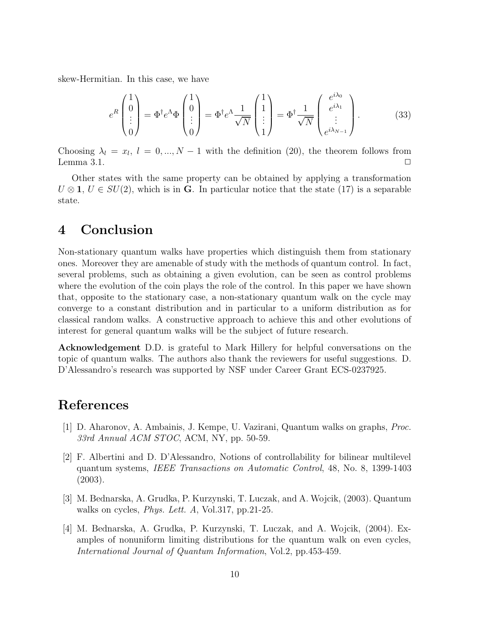skew-Hermitian. In this case, we have

$$
e^{R}\begin{pmatrix}1\\0\\ \vdots\\0\end{pmatrix} = \Phi^{\dagger}e^{\Lambda}\Phi\begin{pmatrix}1\\0\\ \vdots\\0\end{pmatrix} = \Phi^{\dagger}e^{\Lambda}\frac{1}{\sqrt{N}}\begin{pmatrix}1\\1\\ \vdots\\1\end{pmatrix} = \Phi^{\dagger}\frac{1}{\sqrt{N}}\begin{pmatrix}e^{i\lambda_0}\\e^{i\lambda_1}\\ \vdots\\e^{i\lambda_{N-1}}\end{pmatrix}.
$$
 (33)

Choosing  $\lambda_l = x_l, l = 0, ..., N - 1$  with the definition (20), the theorem follows from Lemma 3.1.  $\Box$ 

Other states with the same property can be obtained by applying a transformation  $U \otimes \mathbf{1}, U \in SU(2)$ , which is in G. In particular notice that the state (17) is a separable state.

### 4 Conclusion

Non-stationary quantum walks have properties which distinguish them from stationary ones. Moreover they are amenable of study with the methods of quantum control. In fact, several problems, such as obtaining a given evolution, can be seen as control problems where the evolution of the coin plays the role of the control. In this paper we have shown that, opposite to the stationary case, a non-stationary quantum walk on the cycle may converge to a constant distribution and in particular to a uniform distribution as for classical random walks. A constructive approach to achieve this and other evolutions of interest for general quantum walks will be the subject of future research.

Acknowledgement D.D. is grateful to Mark Hillery for helpful conversations on the topic of quantum walks. The authors also thank the reviewers for useful suggestions. D. D'Alessandro's research was supported by NSF under Career Grant ECS-0237925.

### References

- [1] D. Aharonov, A. Ambainis, J. Kempe, U. Vazirani, Quantum walks on graphs, Proc. 33rd Annual ACM STOC, ACM, NY, pp. 50-59.
- [2] F. Albertini and D. D'Alessandro, Notions of controllability for bilinear multilevel quantum systems, IEEE Transactions on Automatic Control, 48, No. 8, 1399-1403 (2003).
- [3] M. Bednarska, A. Grudka, P. Kurzynski, T. Luczak, and A. Wojcik, (2003). Quantum walks on cycles, *Phys. Lett. A*, Vol.317, pp.21-25.
- [4] M. Bednarska, A. Grudka, P. Kurzynski, T. Luczak, and A. Wojcik, (2004). Examples of nonuniform limiting distributions for the quantum walk on even cycles, International Journal of Quantum Information, Vol.2, pp.453-459.